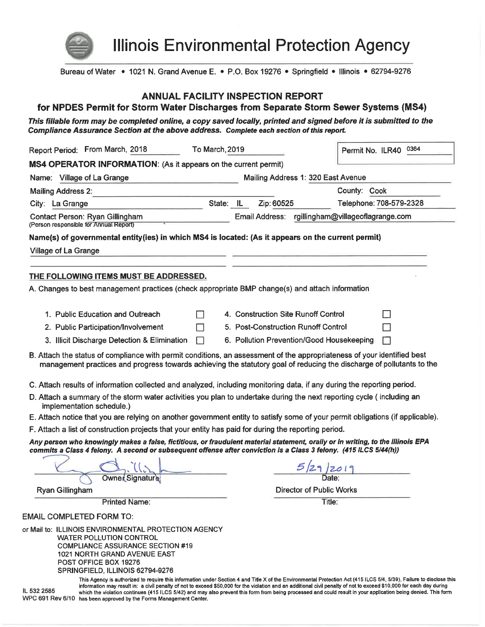

**Illinois Environmental Protection Agency** 

Bureau of Water • 1021 N. Grand Avenue E. • P.O. Box 19276 • Springfield • Illinois • 62794-9276

#### **ANNUAL FACILITY INSPECTION REPORT**

#### for NPDES Permit for Storm Water Discharges from Separate Storm Sewer Systems (MS4)

This fillable form may be completed online, a copy saved locally, printed and signed before it is submitted to the Compliance Assurance Section at the above address. Complete each section of this report.

| Report Period: From March, 2018                                                                                                                                                                                                                      | To March, 2019 |           |                                           | Permit No. ILR40 0364                            |
|------------------------------------------------------------------------------------------------------------------------------------------------------------------------------------------------------------------------------------------------------|----------------|-----------|-------------------------------------------|--------------------------------------------------|
| MS4 OPERATOR INFORMATION: (As it appears on the current permit)                                                                                                                                                                                      |                |           |                                           |                                                  |
| Name: Village of La Grange                                                                                                                                                                                                                           |                |           | Mailing Address 1: 320 East Avenue        |                                                  |
| <b>Mailing Address 2:</b>                                                                                                                                                                                                                            | County: Cook   |           |                                           |                                                  |
| City: La Grange                                                                                                                                                                                                                                      |                | State: IL | Zip: 60525                                | Telephone: 708-579-2328                          |
| Contact Person: Ryan Gillingham<br>(Person responsible for Annual Report)                                                                                                                                                                            |                |           |                                           | Email Address: rgillingham@villageoflagrange.com |
| Name(s) of governmental entity(ies) in which MS4 is located: (As it appears on the current permit)                                                                                                                                                   |                |           |                                           |                                                  |
| Village of La Grange                                                                                                                                                                                                                                 |                |           |                                           |                                                  |
|                                                                                                                                                                                                                                                      |                |           |                                           |                                                  |
| THE FOLLOWING ITEMS MUST BE ADDRESSED.                                                                                                                                                                                                               |                |           |                                           |                                                  |
| A. Changes to best management practices (check appropriate BMP change(s) and attach information                                                                                                                                                      |                |           |                                           |                                                  |
|                                                                                                                                                                                                                                                      |                |           |                                           |                                                  |
| 1. Public Education and Outreach                                                                                                                                                                                                                     |                |           | 4. Construction Site Runoff Control       | $\mathbf{I}$                                     |
| 2. Public Participation/Involvement                                                                                                                                                                                                                  |                |           | 5. Post-Construction Runoff Control       |                                                  |
| 3. Illicit Discharge Detection & Elimination                                                                                                                                                                                                         |                |           | 6. Pollution Prevention/Good Housekeeping |                                                  |
| B. Attach the status of compliance with permit conditions, an assessment of the appropriateness of your identified best<br>management practices and progress towards achieving the statutory goal of reducing the discharge of pollutants to the     |                |           |                                           |                                                  |
| C. Attach results of information collected and analyzed, including monitoring data, if any during the reporting period.                                                                                                                              |                |           |                                           |                                                  |
| D. Attach a summary of the storm water activities you plan to undertake during the next reporting cycle (including an<br>implementation schedule.)                                                                                                   |                |           |                                           |                                                  |
| E. Attach notice that you are relying on another government entity to satisfy some of your permit obligations (if applicable).                                                                                                                       |                |           |                                           |                                                  |
| F. Attach a list of construction projects that your entity has paid for during the reporting period.                                                                                                                                                 |                |           |                                           |                                                  |
| Any person who knowingly makes a false, fictitious, or fraudulent material statement, orally or in writing, to the Illinois EPA<br>commits a Class 4 felony. A second or subsequent offense after conviction is a Class 3 felony. (415 ILCS 5/44(h)) |                |           |                                           |                                                  |
|                                                                                                                                                                                                                                                      |                |           |                                           |                                                  |
|                                                                                                                                                                                                                                                      |                |           |                                           |                                                  |
|                                                                                                                                                                                                                                                      |                |           |                                           |                                                  |
| Ryan Gillingham<br><b>Printed Name:</b>                                                                                                                                                                                                              |                |           | <b>Director of Public Works</b>           | Title:                                           |
|                                                                                                                                                                                                                                                      |                |           |                                           |                                                  |
| <b>EMAIL COMPLETED FORM TO:</b>                                                                                                                                                                                                                      |                |           |                                           |                                                  |
| or Mail to: ILLINOIS ENVIRONMENTAL PROTECTION AGENCY<br><b>WATER POLLUTION CONTROL</b><br><b>COMPLIANCE ASSURANCE SECTION #19</b><br>1021 NORTH GRAND AVENUE EAST<br>POST OFFICE BOX 19276<br>SPRINGFIELD, ILLINOIS 62794-9276                       |                |           |                                           |                                                  |

IL 532 2585

This Agency is authorized to require this information under Section 4 and Title X of the Environmental Protection Act (415 ILCS 5/4, 5/39). Failure to disclose this information may result in: a civil penalty of not to exceed \$50,000 for the violation and an additional civil penalty of not to exceed \$10,000 for each day during which the violation continues (415 ILCS 5/42) and may also prevent this form from being processed and could result in your application being denied. This form WPC 691 Rev 6/10 has been approved by the Forms Management Center.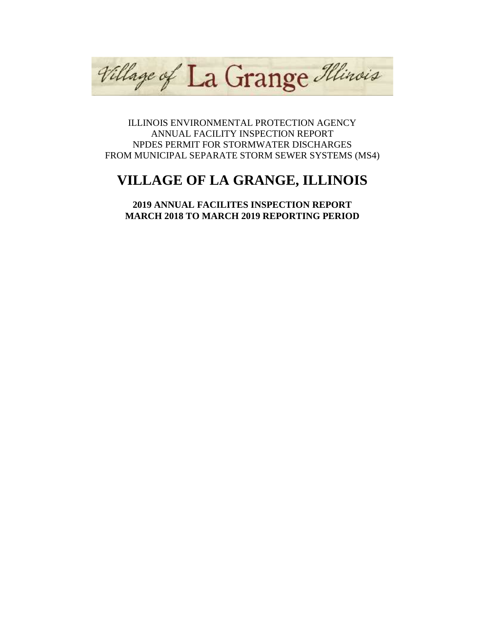Village of La Grange Illinois

ILLINOIS ENVIRONMENTAL PROTECTION AGENCY ANNUAL FACILITY INSPECTION REPORT NPDES PERMIT FOR STORMWATER DISCHARGES FROM MUNICIPAL SEPARATE STORM SEWER SYSTEMS (MS4)

# **VILLAGE OF LA GRANGE, ILLINOIS**

**2019 ANNUAL FACILITES INSPECTION REPORT MARCH 2018 TO MARCH 2019 REPORTING PERIOD**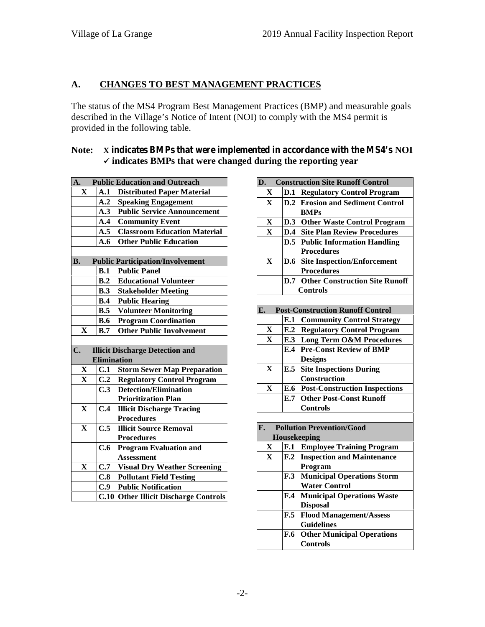## **A. CHANGES TO BEST MANAGEMENT PRACTICES**

The status of the MS4 Program Best Management Practices (BMP) and measurable goals described in the Village's Notice of Intent (NOI) to comply with the MS4 permit is provided in the following table.

### **Note: X indicates BMPs that were implemented in accordance with the MS4's NOI indicates BMPs that were changed during the reporting year**

| A.            |                    | <b>Public Education and Outreach</b>    | D  |
|---------------|--------------------|-----------------------------------------|----|
| X             | A.1                | <b>Distributed Paper Material</b>       |    |
|               | A.2                | <b>Speaking Engagement</b>              |    |
|               | A.3                | <b>Public Service Announcement</b>      |    |
|               | $\mathbf{A.4}$     | <b>Community Event</b>                  |    |
|               | A.5                | <b>Classroom Education Material</b>     |    |
|               | A.6                | <b>Other Public Education</b>           |    |
|               |                    |                                         |    |
| <b>B.</b>     |                    | <b>Public Participation/Involvement</b> |    |
|               |                    | <b>B.1</b> Public Panel                 |    |
|               | B.2                | <b>Educational Volunteer</b>            |    |
|               | B.3                | <b>Stakeholder Meeting</b>              |    |
|               |                    | <b>B.4</b> Public Hearing               |    |
|               | B.5                | <b>Volunteer Monitoring</b>             | E. |
|               | <b>B.6</b>         | <b>Program Coordination</b>             |    |
| $\mathbf{X}$  | B.7                | <b>Other Public Involvement</b>         |    |
|               |                    |                                         |    |
| $C_{\bullet}$ |                    |                                         |    |
|               |                    | <b>Illicit Discharge Detection and</b>  |    |
|               | <b>Elimination</b> |                                         |    |
| $\mathbf{X}$  | C.1                | <b>Storm Sewer Map Preparation</b>      |    |
| $\mathbf{X}$  | C.2                | <b>Regulatory Control Program</b>       |    |
|               | C.3                | <b>Detection/Elimination</b>            |    |
|               |                    | <b>Prioritization Plan</b>              |    |
| $\mathbf{X}$  | C.4                | <b>Illicit Discharge Tracing</b>        |    |
|               |                    | <b>Procedures</b>                       |    |
| $\mathbf X$   | C.5                | <b>Illicit Source Removal</b>           | F. |
|               |                    | <b>Procedures</b>                       |    |
|               | C.6                | <b>Program Evaluation and</b>           |    |
|               |                    | <b>Assessment</b>                       |    |
| X             | C.7                | <b>Visual Dry Weather Screening</b>     |    |
|               | C.8                | <b>Pollutant Field Testing</b>          |    |
|               |                    | <b>C.9</b> Public Notification          |    |

| <b>Construction Site Runoff Control</b><br>D.                       |
|---------------------------------------------------------------------|
| $\mathbf X$<br><b>D.1 Regulatory Control Program</b>                |
| <b>D.2</b> Erosion and Sediment Control<br>X                        |
| <b>BMPs</b>                                                         |
| $\mathbf X$<br>D.3 Other Waste Control Program                      |
| <b>D.4</b> Site Plan Review Procedures<br>$\mathbf X$               |
| <b>D.5</b> Public Information Handling                              |
| <b>Procedures</b>                                                   |
| X<br><b>Site Inspection/Enforcement</b><br><b>D.6</b>               |
| <b>Procedures</b>                                                   |
| <b>Other Construction Site Runoff</b><br>D.7                        |
| <b>Controls</b>                                                     |
|                                                                     |
| <b>Post-Construction Runoff Control</b><br>E.                       |
| E.1<br><b>Community Control Strategy</b>                            |
| <b>E.2 Regulatory Control Program</b><br>X                          |
| <b>E.3 Long Term O&amp;M Procedures</b><br>$\mathbf{X}$             |
| <b>E.4 Pre-Const Review of BMP</b>                                  |
| <b>Designs</b>                                                      |
| <b>E.5</b> Site Inspections During<br>X<br>Construction             |
| <b>E.6</b> Post-Construction Inspections<br>$\mathbf X$             |
| <b>E.7 Other Post-Const Runoff</b>                                  |
| <b>Controls</b>                                                     |
|                                                                     |
| <b>Pollution Prevention/Good</b><br>F.                              |
| Housekeeping                                                        |
| X<br><b>Employee Training Program</b><br>F.1                        |
| $\mathbf{F.2}$<br><b>Inspection and Maintenance</b><br>$\mathbf{X}$ |
| Program                                                             |
| <b>Municipal Operations Storm</b><br>F.3                            |
| <b>Water Control</b>                                                |
| <b>Municipal Operations Waste</b><br>$\mathbf{F.4}$                 |
| <b>Disposal</b>                                                     |
| $\mathbf{F.5}$<br><b>Flood Management/Assess</b>                    |
| <b>Guidelines</b>                                                   |
| <b>Other Municipal Operations</b><br><b>F.6</b>                     |
| <b>Controls</b>                                                     |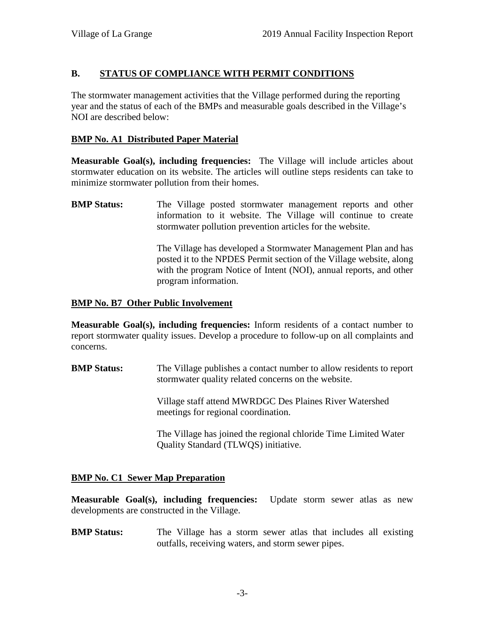### **B. STATUS OF COMPLIANCE WITH PERMIT CONDITIONS**

The stormwater management activities that the Village performed during the reporting year and the status of each of the BMPs and measurable goals described in the Village's NOI are described below:

### **BMP No. A1 Distributed Paper Material**

**Measurable Goal(s), including frequencies:** The Village will include articles about stormwater education on its website. The articles will outline steps residents can take to minimize stormwater pollution from their homes.

**BMP Status:** The Village posted stormwater management reports and other information to it website. The Village will continue to create stormwater pollution prevention articles for the website.

> The Village has developed a Stormwater Management Plan and has posted it to the NPDES Permit section of the Village website, along with the program Notice of Intent (NOI), annual reports, and other program information.

### **BMP No. B7 Other Public Involvement**

**Measurable Goal(s), including frequencies:** Inform residents of a contact number to report stormwater quality issues. Develop a procedure to follow-up on all complaints and concerns.

**BMP Status:** The Village publishes a contact number to allow residents to report stormwater quality related concerns on the website.

> Village staff attend MWRDGC Des Plaines River Watershed meetings for regional coordination.

The Village has joined the regional chloride Time Limited Water Quality Standard (TLWQS) initiative.

### **BMP No. C1 Sewer Map Preparation**

**Measurable Goal(s), including frequencies:** Update storm sewer atlas as new developments are constructed in the Village.

**BMP Status:** The Village has a storm sewer atlas that includes all existing outfalls, receiving waters, and storm sewer pipes.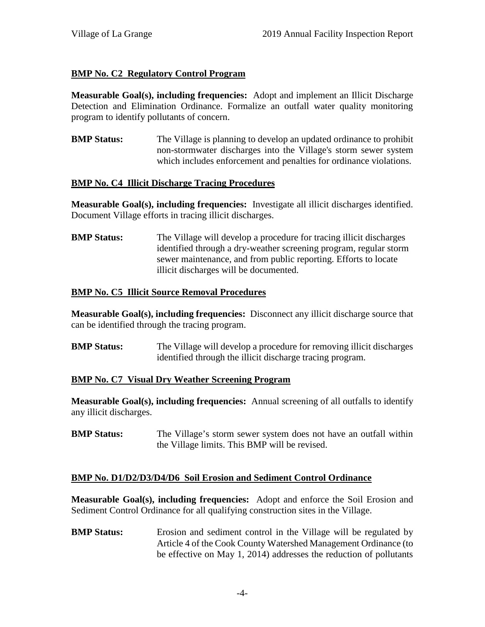### **BMP No. C2 Regulatory Control Program**

**Measurable Goal(s), including frequencies:** Adopt and implement an Illicit Discharge Detection and Elimination Ordinance. Formalize an outfall water quality monitoring program to identify pollutants of concern.

**BMP Status:** The Village is planning to develop an updated ordinance to prohibit non-stormwater discharges into the Village's storm sewer system which includes enforcement and penalties for ordinance violations.

### **BMP No. C4 Illicit Discharge Tracing Procedures**

**Measurable Goal(s), including frequencies:** Investigate all illicit discharges identified. Document Village efforts in tracing illicit discharges.

**BMP Status:** The Village will develop a procedure for tracing illicit discharges identified through a dry-weather screening program, regular storm sewer maintenance, and from public reporting. Efforts to locate illicit discharges will be documented.

### **BMP No. C5 Illicit Source Removal Procedures**

**Measurable Goal(s), including frequencies:** Disconnect any illicit discharge source that can be identified through the tracing program.

**BMP Status:** The Village will develop a procedure for removing illicit discharges identified through the illicit discharge tracing program.

### **BMP No. C7 Visual Dry Weather Screening Program**

**Measurable Goal(s), including frequencies:** Annual screening of all outfalls to identify any illicit discharges.

**BMP Status:** The Village's storm sewer system does not have an outfall within the Village limits. This BMP will be revised.

### **BMP No. D1/D2/D3/D4/D6 Soil Erosion and Sediment Control Ordinance**

**Measurable Goal(s), including frequencies:** Adopt and enforce the Soil Erosion and Sediment Control Ordinance for all qualifying construction sites in the Village.

**BMP Status:** Erosion and sediment control in the Village will be regulated by Article 4 of the Cook County Watershed Management Ordinance (to be effective on May 1, 2014) addresses the reduction of pollutants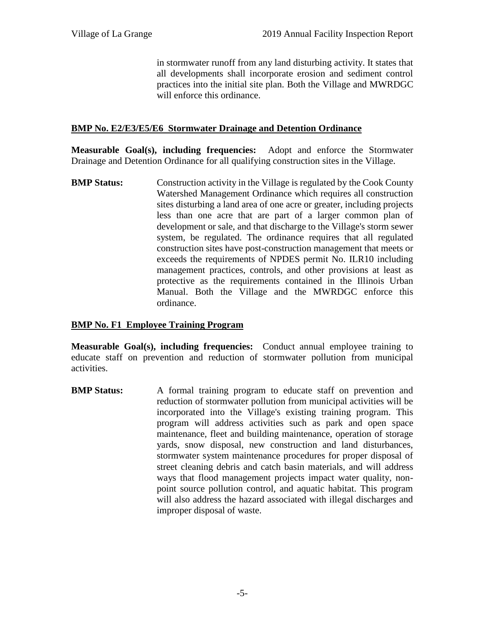in stormwater runoff from any land disturbing activity. It states that all developments shall incorporate erosion and sediment control practices into the initial site plan. Both the Village and MWRDGC will enforce this ordinance.

#### **BMP No. E2/E3/E5/E6 Stormwater Drainage and Detention Ordinance**

**Measurable Goal(s), including frequencies:** Adopt and enforce the Stormwater Drainage and Detention Ordinance for all qualifying construction sites in the Village.

**BMP Status:** Construction activity in the Village is regulated by the Cook County Watershed Management Ordinance which requires all construction sites disturbing a land area of one acre or greater, including projects less than one acre that are part of a larger common plan of development or sale, and that discharge to the Village's storm sewer system, be regulated. The ordinance requires that all regulated construction sites have post-construction management that meets or exceeds the requirements of NPDES permit No. ILR10 including management practices, controls, and other provisions at least as protective as the requirements contained in the Illinois Urban Manual. Both the Village and the MWRDGC enforce this ordinance.

#### **BMP No. F1 Employee Training Program**

**Measurable Goal(s), including frequencies:** Conduct annual employee training to educate staff on prevention and reduction of stormwater pollution from municipal activities.

**BMP Status:** A formal training program to educate staff on prevention and reduction of stormwater pollution from municipal activities will be incorporated into the Village's existing training program. This program will address activities such as park and open space maintenance, fleet and building maintenance, operation of storage yards, snow disposal, new construction and land disturbances, stormwater system maintenance procedures for proper disposal of street cleaning debris and catch basin materials, and will address ways that flood management projects impact water quality, non point source pollution control, and aquatic habitat. This program will also address the hazard associated with illegal discharges and improper disposal of waste.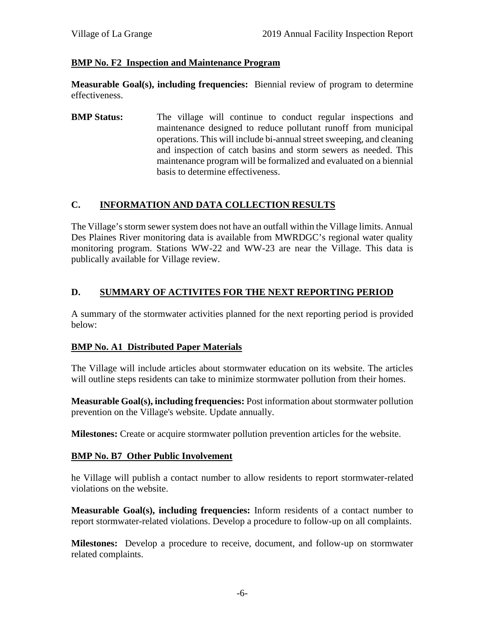### **BMP No. F2 Inspection and Maintenance Program**

**Measurable Goal(s), including frequencies:** Biennial review of program to determine effectiveness.

**BMP Status:** The village will continue to conduct regular inspections and maintenance designed to reduce pollutant runoff from municipal operations. This will include bi-annual street sweeping, and cleaning and inspection of catch basins and storm sewers as needed. This maintenance program will be formalized and evaluated on a biennial basis to determine effectiveness.

### **C. INFORMATION AND DATA COLLECTION RESULTS**

The Village's storm sewer system does not have an outfall within the Village limits. Annual Des Plaines River monitoring data is available from MWRDGC's regional water quality monitoring program. Stations WW-22 and WW-23 are near the Village. This data is publically available for Village review.

### **D. SUMMARY OF ACTIVITES FOR THE NEXT REPORTING PERIOD**

A summary of the stormwater activities planned for the next reporting period is provided below:

### **BMP No. A1 Distributed Paper Materials**

The Village will include articles about stormwater education on its website. The articles will outline steps residents can take to minimize stormwater pollution from their homes.

**Measurable Goal(s), including frequencies:** Post information about stormwater pollution prevention on the Village's website. Update annually.

**Milestones:** Create or acquire stormwater pollution prevention articles for the website.

### **BMP No. B7 Other Public Involvement**

he Village will publish a contact number to allow residents to report stormwater-related violations on the website.

**Measurable Goal(s), including frequencies:** Inform residents of a contact number to report stormwater-related violations. Develop a procedure to follow-up on all complaints.

**Milestones:** Develop a procedure to receive, document, and follow-up on stormwater related complaints.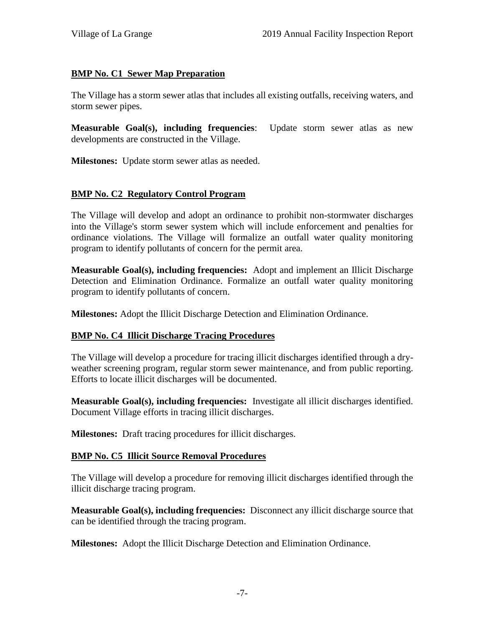### **BMP No. C1 Sewer Map Preparation**

The Village has a storm sewer atlas that includes all existing outfalls, receiving waters, and storm sewer pipes.

**Measurable Goal(s), including frequencies**: Update storm sewer atlas as new developments are constructed in the Village.

**Milestones:** Update storm sewer atlas as needed.

### **BMP No. C2 Regulatory Control Program**

The Village will develop and adopt an ordinance to prohibit non-stormwater discharges into the Village's storm sewer system which will include enforcement and penalties for ordinance violations. The Village will formalize an outfall water quality monitoring program to identify pollutants of concern for the permit area.

**Measurable Goal(s), including frequencies:** Adopt and implement an Illicit Discharge Detection and Elimination Ordinance. Formalize an outfall water quality monitoring program to identify pollutants of concern.

**Milestones:** Adopt the Illicit Discharge Detection and Elimination Ordinance.

### **BMP No. C4 Illicit Discharge Tracing Procedures**

The Village will develop a procedure for tracing illicit discharges identified through a dry weather screening program, regular storm sewer maintenance, and from public reporting. Efforts to locate illicit discharges will be documented.

**Measurable Goal(s), including frequencies:** Investigate all illicit discharges identified. Document Village efforts in tracing illicit discharges.

**Milestones:** Draft tracing procedures for illicit discharges.

### **BMP No. C5 Illicit Source Removal Procedures**

The Village will develop a procedure for removing illicit discharges identified through the illicit discharge tracing program.

**Measurable Goal(s), including frequencies:** Disconnect any illicit discharge source that can be identified through the tracing program.

**Milestones:** Adopt the Illicit Discharge Detection and Elimination Ordinance.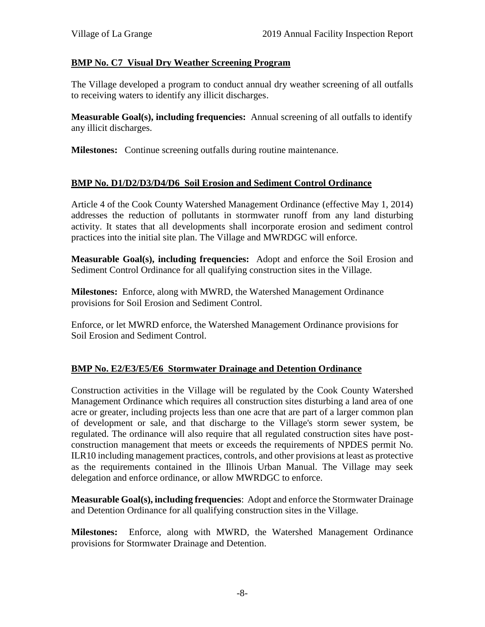### **BMP No. C7 Visual Dry Weather Screening Program**

The Village developed a program to conduct annual dry weather screening of all outfalls to receiving waters to identify any illicit discharges.

**Measurable Goal(s), including frequencies:** Annual screening of all outfalls to identify any illicit discharges.

**Milestones:** Continue screening outfalls during routine maintenance.

### **BMP No. D1/D2/D3/D4/D6 Soil Erosion and Sediment Control Ordinance**

Article 4 of the Cook County Watershed Management Ordinance (effective May 1, 2014) addresses the reduction of pollutants in stormwater runoff from any land disturbing activity. It states that all developments shall incorporate erosion and sediment control practices into the initial site plan. The Village and MWRDGC will enforce.

**Measurable Goal(s), including frequencies:** Adopt and enforce the Soil Erosion and Sediment Control Ordinance for all qualifying construction sites in the Village.

**Milestones:** Enforce, along with MWRD, the Watershed Management Ordinance provisions for Soil Erosion and Sediment Control.

Enforce, or let MWRD enforce, the Watershed Management Ordinance provisions for Soil Erosion and Sediment Control.

### **BMP No. E2/E3/E5/E6 Stormwater Drainage and Detention Ordinance**

Construction activities in the Village will be regulated by the Cook County Watershed Management Ordinance which requires all construction sites disturbing a land area of one acre or greater, including projects less than one acre that are part of a larger common plan of development or sale, and that discharge to the Village's storm sewer system, be regulated. The ordinance will also require that all regulated construction sites have post construction management that meets or exceeds the requirements of NPDES permit No. ILR10 including management practices, controls, and other provisions at least as protective as the requirements contained in the Illinois Urban Manual. The Village may seek delegation and enforce ordinance, or allow MWRDGC to enforce.

**Measurable Goal(s), including frequencies**: Adopt and enforce the Stormwater Drainage and Detention Ordinance for all qualifying construction sites in the Village.

**Milestones:** Enforce, along with MWRD, the Watershed Management Ordinance provisions for Stormwater Drainage and Detention.